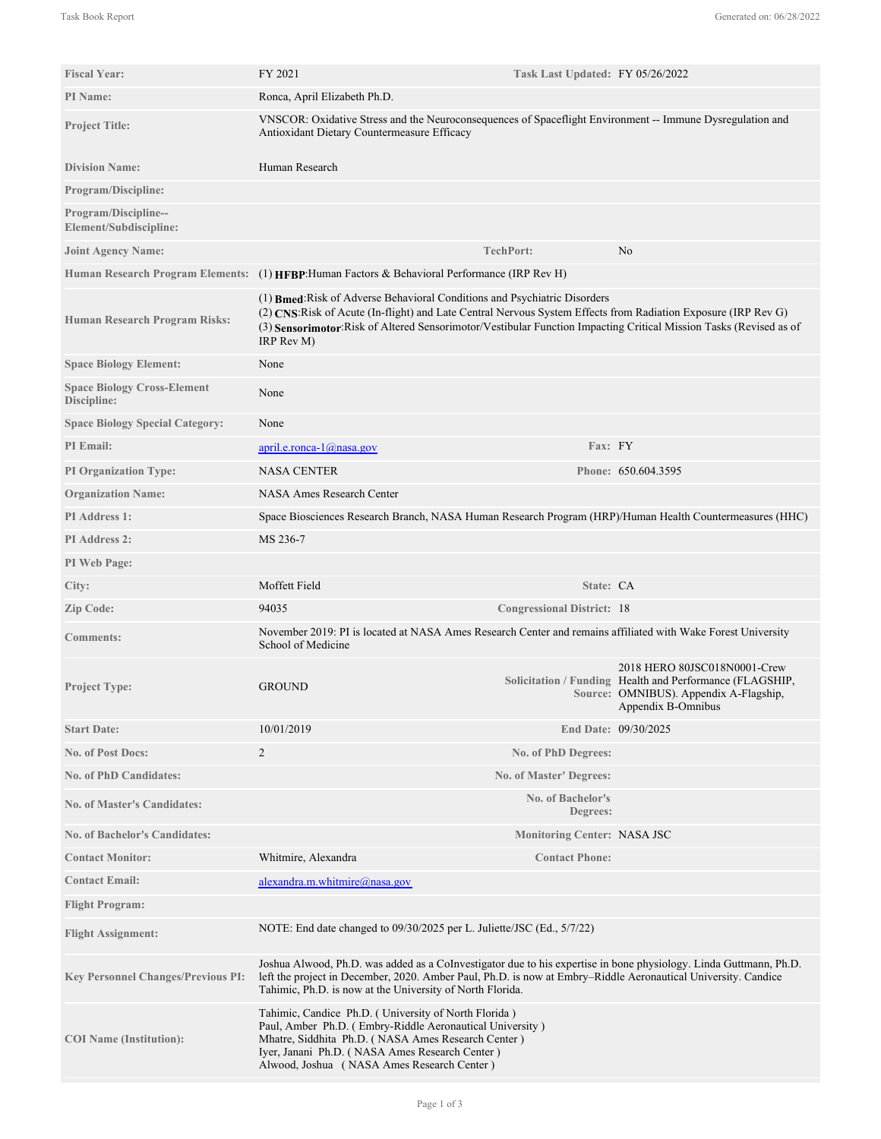| <b>Fiscal Year:</b>                                   | FY 2021                                                                                                                                                                                                                                                                                                                        | Task Last Updated: FY 05/26/2022     |                                                                                                                                                          |
|-------------------------------------------------------|--------------------------------------------------------------------------------------------------------------------------------------------------------------------------------------------------------------------------------------------------------------------------------------------------------------------------------|--------------------------------------|----------------------------------------------------------------------------------------------------------------------------------------------------------|
| PI Name:                                              | Ronca, April Elizabeth Ph.D.                                                                                                                                                                                                                                                                                                   |                                      |                                                                                                                                                          |
| <b>Project Title:</b>                                 | VNSCOR: Oxidative Stress and the Neuroconsequences of Spaceflight Environment -- Immune Dysregulation and<br>Antioxidant Dietary Countermeasure Efficacy                                                                                                                                                                       |                                      |                                                                                                                                                          |
| <b>Division Name:</b>                                 | Human Research                                                                                                                                                                                                                                                                                                                 |                                      |                                                                                                                                                          |
| <b>Program/Discipline:</b>                            |                                                                                                                                                                                                                                                                                                                                |                                      |                                                                                                                                                          |
| <b>Program/Discipline--</b><br>Element/Subdiscipline: |                                                                                                                                                                                                                                                                                                                                |                                      |                                                                                                                                                          |
| <b>Joint Agency Name:</b>                             |                                                                                                                                                                                                                                                                                                                                | <b>TechPort:</b>                     | No                                                                                                                                                       |
|                                                       | Human Research Program Elements: (1) HFBP: Human Factors & Behavioral Performance (IRP Rev H)                                                                                                                                                                                                                                  |                                      |                                                                                                                                                          |
| Human Research Program Risks:                         | (1) Bmed: Risk of Adverse Behavioral Conditions and Psychiatric Disorders<br>(2) CNS: Risk of Acute (In-flight) and Late Central Nervous System Effects from Radiation Exposure (IRP Rev G)<br>(3) Sensorimotor:Risk of Altered Sensorimotor/Vestibular Function Impacting Critical Mission Tasks (Revised as of<br>IRP Rev M) |                                      |                                                                                                                                                          |
| <b>Space Biology Element:</b>                         | None                                                                                                                                                                                                                                                                                                                           |                                      |                                                                                                                                                          |
| <b>Space Biology Cross-Element</b><br>Discipline:     | None                                                                                                                                                                                                                                                                                                                           |                                      |                                                                                                                                                          |
| <b>Space Biology Special Category:</b>                | None                                                                                                                                                                                                                                                                                                                           |                                      |                                                                                                                                                          |
| <b>PI</b> Email:                                      | $april.e. ronca-1@nasa.gov$                                                                                                                                                                                                                                                                                                    | Fax: FY                              |                                                                                                                                                          |
| <b>PI Organization Type:</b>                          | <b>NASA CENTER</b>                                                                                                                                                                                                                                                                                                             |                                      | Phone: 650.604.3595                                                                                                                                      |
| <b>Organization Name:</b>                             | <b>NASA Ames Research Center</b>                                                                                                                                                                                                                                                                                               |                                      |                                                                                                                                                          |
| <b>PI</b> Address 1:                                  | Space Biosciences Research Branch, NASA Human Research Program (HRP)/Human Health Countermeasures (HHC)                                                                                                                                                                                                                        |                                      |                                                                                                                                                          |
| <b>PI</b> Address 2:                                  | MS 236-7                                                                                                                                                                                                                                                                                                                       |                                      |                                                                                                                                                          |
| PI Web Page:                                          |                                                                                                                                                                                                                                                                                                                                |                                      |                                                                                                                                                          |
| City:                                                 | Moffett Field                                                                                                                                                                                                                                                                                                                  | State: CA                            |                                                                                                                                                          |
| Zip Code:                                             | 94035                                                                                                                                                                                                                                                                                                                          | <b>Congressional District: 18</b>    |                                                                                                                                                          |
| <b>Comments:</b>                                      | November 2019: PI is located at NASA Ames Research Center and remains affiliated with Wake Forest University<br>School of Medicine                                                                                                                                                                                             |                                      |                                                                                                                                                          |
| <b>Project Type:</b>                                  | <b>GROUND</b>                                                                                                                                                                                                                                                                                                                  |                                      | 2018 HERO 80JSC018N0001-Crew<br>Solicitation / Funding Health and Performance (FLAGSHIP,<br>Source: OMNIBUS). Appendix A-Flagship,<br>Appendix B-Omnibus |
| <b>Start Date:</b>                                    | 10/01/2019                                                                                                                                                                                                                                                                                                                     |                                      | End Date: 09/30/2025                                                                                                                                     |
| <b>No. of Post Docs:</b>                              | $\overline{2}$                                                                                                                                                                                                                                                                                                                 | No. of PhD Degrees:                  |                                                                                                                                                          |
| <b>No. of PhD Candidates:</b>                         |                                                                                                                                                                                                                                                                                                                                | No. of Master' Degrees:              |                                                                                                                                                          |
| <b>No. of Master's Candidates:</b>                    |                                                                                                                                                                                                                                                                                                                                | <b>No. of Bachelor's</b><br>Degrees: |                                                                                                                                                          |
| <b>No. of Bachelor's Candidates:</b>                  |                                                                                                                                                                                                                                                                                                                                | <b>Monitoring Center: NASA JSC</b>   |                                                                                                                                                          |
| <b>Contact Monitor:</b>                               | Whitmire, Alexandra                                                                                                                                                                                                                                                                                                            | <b>Contact Phone:</b>                |                                                                                                                                                          |
| <b>Contact Email:</b>                                 | alexandra.m.whitmire@nasa.gov                                                                                                                                                                                                                                                                                                  |                                      |                                                                                                                                                          |
| <b>Flight Program:</b>                                |                                                                                                                                                                                                                                                                                                                                |                                      |                                                                                                                                                          |
| <b>Flight Assignment:</b>                             | NOTE: End date changed to 09/30/2025 per L. Juliette/JSC (Ed., 5/7/22)                                                                                                                                                                                                                                                         |                                      |                                                                                                                                                          |
| <b>Key Personnel Changes/Previous PI:</b>             | Joshua Alwood, Ph.D. was added as a Colnvestigator due to his expertise in bone physiology. Linda Guttmann, Ph.D.<br>left the project in December, 2020. Amber Paul, Ph.D. is now at Embry–Riddle Aeronautical University. Candice<br>Tahimic, Ph.D. is now at the University of North Florida.                                |                                      |                                                                                                                                                          |
| <b>COI</b> Name (Institution):                        | Tahimic, Candice Ph.D. (University of North Florida)<br>Paul, Amber Ph.D. (Embry-Riddle Aeronautical University)<br>Mhatre, Siddhita Ph.D. (NASA Ames Research Center)<br>Iyer, Janani Ph.D. (NASA Ames Research Center)<br>Alwood, Joshua (NASA Ames Research Center)                                                         |                                      |                                                                                                                                                          |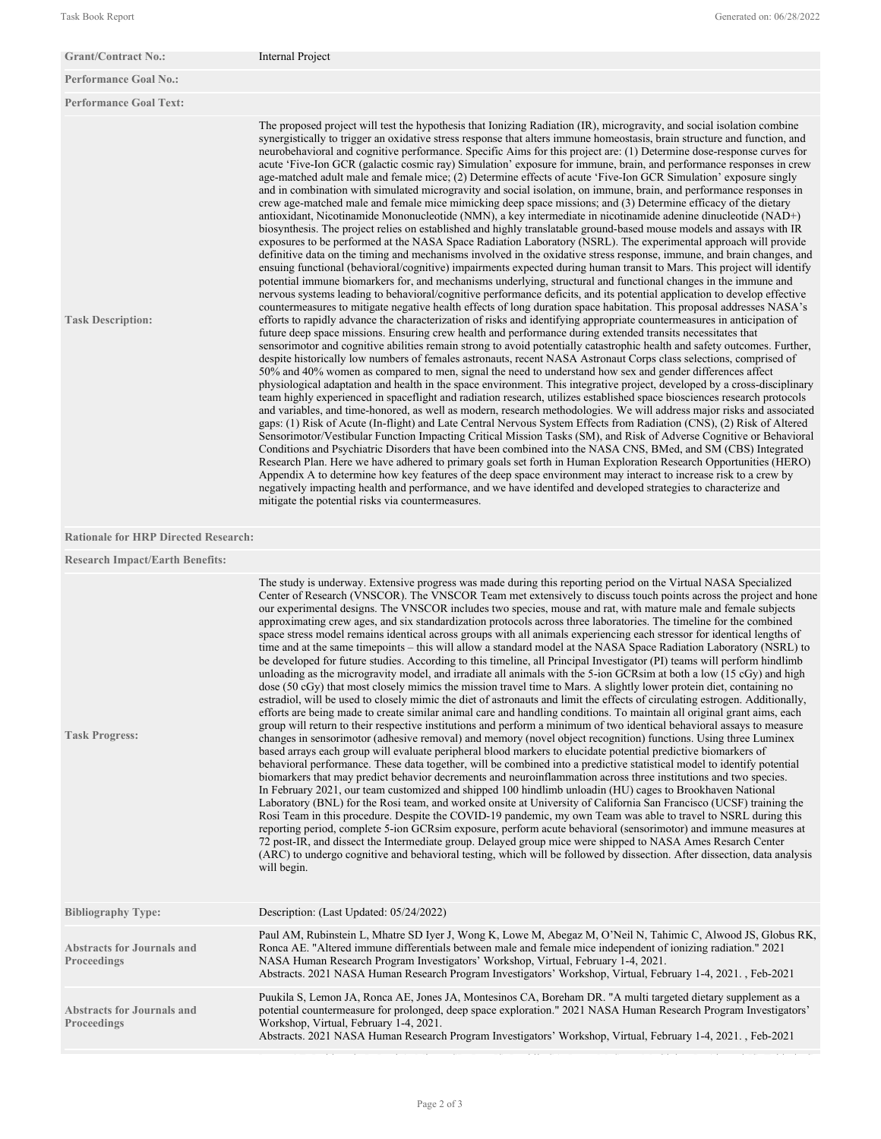| <b>Grant/Contract No.:</b>                              | Internal Project                                                                                                                                                                                                                                                                                                                                                                                                                                                                                                                                                                                                                                                                                                                                                                                                                                                                                                                                                                                                                                                                                                                                                                                                                                                                                                                                                                                                                                                                                                                                                                                                                                                                                                                                                                                                                                                                                                                                                                                                                                                                                                                                                                                                                                                                                                                                                                                                                                                                                                                                                                                                                                                                                                                                                                                                                                                                                                                                                                                                                                                                                                                                                                                                                                                                                                                                                                                                                                                                                                                                                                                                                           |
|---------------------------------------------------------|--------------------------------------------------------------------------------------------------------------------------------------------------------------------------------------------------------------------------------------------------------------------------------------------------------------------------------------------------------------------------------------------------------------------------------------------------------------------------------------------------------------------------------------------------------------------------------------------------------------------------------------------------------------------------------------------------------------------------------------------------------------------------------------------------------------------------------------------------------------------------------------------------------------------------------------------------------------------------------------------------------------------------------------------------------------------------------------------------------------------------------------------------------------------------------------------------------------------------------------------------------------------------------------------------------------------------------------------------------------------------------------------------------------------------------------------------------------------------------------------------------------------------------------------------------------------------------------------------------------------------------------------------------------------------------------------------------------------------------------------------------------------------------------------------------------------------------------------------------------------------------------------------------------------------------------------------------------------------------------------------------------------------------------------------------------------------------------------------------------------------------------------------------------------------------------------------------------------------------------------------------------------------------------------------------------------------------------------------------------------------------------------------------------------------------------------------------------------------------------------------------------------------------------------------------------------------------------------------------------------------------------------------------------------------------------------------------------------------------------------------------------------------------------------------------------------------------------------------------------------------------------------------------------------------------------------------------------------------------------------------------------------------------------------------------------------------------------------------------------------------------------------------------------------------------------------------------------------------------------------------------------------------------------------------------------------------------------------------------------------------------------------------------------------------------------------------------------------------------------------------------------------------------------------------------------------------------------------------------------------------------------------|
| <b>Performance Goal No.:</b>                            |                                                                                                                                                                                                                                                                                                                                                                                                                                                                                                                                                                                                                                                                                                                                                                                                                                                                                                                                                                                                                                                                                                                                                                                                                                                                                                                                                                                                                                                                                                                                                                                                                                                                                                                                                                                                                                                                                                                                                                                                                                                                                                                                                                                                                                                                                                                                                                                                                                                                                                                                                                                                                                                                                                                                                                                                                                                                                                                                                                                                                                                                                                                                                                                                                                                                                                                                                                                                                                                                                                                                                                                                                                            |
| <b>Performance Goal Text:</b>                           |                                                                                                                                                                                                                                                                                                                                                                                                                                                                                                                                                                                                                                                                                                                                                                                                                                                                                                                                                                                                                                                                                                                                                                                                                                                                                                                                                                                                                                                                                                                                                                                                                                                                                                                                                                                                                                                                                                                                                                                                                                                                                                                                                                                                                                                                                                                                                                                                                                                                                                                                                                                                                                                                                                                                                                                                                                                                                                                                                                                                                                                                                                                                                                                                                                                                                                                                                                                                                                                                                                                                                                                                                                            |
| <b>Task Description:</b>                                | The proposed project will test the hypothesis that Ionizing Radiation (IR), microgravity, and social isolation combine<br>synergistically to trigger an oxidative stress response that alters immune homeostasis, brain structure and function, and<br>neurobehavioral and cognitive performance. Specific Aims for this project are: (1) Determine dose-response curves for<br>acute 'Five-Ion GCR (galactic cosmic ray) Simulation' exposure for immune, brain, and performance responses in crew<br>age-matched adult male and female mice; (2) Determine effects of acute 'Five-Ion GCR Simulation' exposure singly<br>and in combination with simulated microgravity and social isolation, on immune, brain, and performance responses in<br>crew age-matched male and female mice mimicking deep space missions; and (3) Determine efficacy of the dietary<br>antioxidant, Nicotinamide Mononucleotide (NMN), a key intermediate in nicotinamide adenine dinucleotide (NAD+)<br>biosynthesis. The project relies on established and highly translatable ground-based mouse models and assays with IR<br>exposures to be performed at the NASA Space Radiation Laboratory (NSRL). The experimental approach will provide<br>definitive data on the timing and mechanisms involved in the oxidative stress response, immune, and brain changes, and<br>ensuing functional (behavioral/cognitive) impairments expected during human transit to Mars. This project will identify<br>potential immune biomarkers for, and mechanisms underlying, structural and functional changes in the immune and<br>nervous systems leading to behavioral/cognitive performance deficits, and its potential application to develop effective<br>countermeasures to mitigate negative health effects of long duration space habitation. This proposal addresses NASA's<br>efforts to rapidly advance the characterization of risks and identifying appropriate countermeasures in anticipation of<br>future deep space missions. Ensuring crew health and performance during extended transits necessitates that<br>sensorimotor and cognitive abilities remain strong to avoid potentially catastrophic health and safety outcomes. Further,<br>despite historically low numbers of females astronauts, recent NASA Astronaut Corps class selections, comprised of<br>50% and 40% women as compared to men, signal the need to understand how sex and gender differences affect<br>physiological adaptation and health in the space environment. This integrative project, developed by a cross-disciplinary<br>team highly experienced in spaceflight and radiation research, utilizes established space biosciences research protocols<br>and variables, and time-honored, as well as modern, research methodologies. We will address major risks and associated<br>gaps: (1) Risk of Acute (In-flight) and Late Central Nervous System Effects from Radiation (CNS), (2) Risk of Altered<br>Sensorimotor/Vestibular Function Impacting Critical Mission Tasks (SM), and Risk of Adverse Cognitive or Behavioral<br>Conditions and Psychiatric Disorders that have been combined into the NASA CNS, BMed, and SM (CBS) Integrated<br>Research Plan. Here we have adhered to primary goals set forth in Human Exploration Research Opportunities (HERO)<br>Appendix A to determine how key features of the deep space environment may interact to increase risk to a crew by<br>negatively impacting health and performance, and we have identifed and developed strategies to characterize and<br>mitigate the potential risks via countermeasures. |
| <b>Rationale for HRP Directed Research:</b>             |                                                                                                                                                                                                                                                                                                                                                                                                                                                                                                                                                                                                                                                                                                                                                                                                                                                                                                                                                                                                                                                                                                                                                                                                                                                                                                                                                                                                                                                                                                                                                                                                                                                                                                                                                                                                                                                                                                                                                                                                                                                                                                                                                                                                                                                                                                                                                                                                                                                                                                                                                                                                                                                                                                                                                                                                                                                                                                                                                                                                                                                                                                                                                                                                                                                                                                                                                                                                                                                                                                                                                                                                                                            |
| <b>Research Impact/Earth Benefits:</b>                  |                                                                                                                                                                                                                                                                                                                                                                                                                                                                                                                                                                                                                                                                                                                                                                                                                                                                                                                                                                                                                                                                                                                                                                                                                                                                                                                                                                                                                                                                                                                                                                                                                                                                                                                                                                                                                                                                                                                                                                                                                                                                                                                                                                                                                                                                                                                                                                                                                                                                                                                                                                                                                                                                                                                                                                                                                                                                                                                                                                                                                                                                                                                                                                                                                                                                                                                                                                                                                                                                                                                                                                                                                                            |
| <b>Task Progress:</b>                                   | The study is underway. Extensive progress was made during this reporting period on the Virtual NASA Specialized<br>Center of Research (VNSCOR). The VNSCOR Team met extensively to discuss touch points across the project and hone<br>our experimental designs. The VNSCOR includes two species, mouse and rat, with mature male and female subjects<br>approximating crew ages, and six standardization protocols across three laboratories. The timeline for the combined<br>space stress model remains identical across groups with all animals experiencing each stressor for identical lengths of<br>time and at the same timepoints – this will allow a standard model at the NASA Space Radiation Laboratory (NSRL) to<br>be developed for future studies. According to this timeline, all Principal Investigator (PI) teams will perform hindlimb<br>unloading as the microgravity model, and irradiate all animals with the 5-ion GCRsim at both a low (15 cGy) and high<br>dose (50 cGy) that most closely mimics the mission travel time to Mars. A slightly lower protein diet, containing no<br>estradiol, will be used to closely mimic the diet of astronauts and limit the effects of circulating estrogen. Additionally,<br>efforts are being made to create similar animal care and handling conditions. To maintain all original grant aims, each<br>group will return to their respective institutions and perform a minimum of two identical behavioral assays to measure<br>changes in sensorimotor (adhesive removal) and memory (novel object recognition) functions. Using three Luminex<br>based arrays each group will evaluate peripheral blood markers to elucidate potential predictive biomarkers of<br>behavioral performance. These data together, will be combined into a predictive statistical model to identify potential<br>biomarkers that may predict behavior decrements and neuroinflammation across three institutions and two species.<br>In February 2021, our team customized and shipped 100 hindlimb unloadin (HU) cages to Brookhaven National<br>Laboratory (BNL) for the Rosi team, and worked onsite at University of California San Francisco (UCSF) training the<br>Rosi Team in this procedure. Despite the COVID-19 pandemic, my own Team was able to travel to NSRL during this<br>reporting period, complete 5-ion GCRsim exposure, perform acute behavioral (sensorimotor) and immune measures at<br>72 post-IR, and dissect the Intermediate group. Delayed group mice were shipped to NASA Ames Resarch Center<br>(ARC) to undergo cognitive and behavioral testing, which will be followed by dissection. After dissection, data analysis<br>will begin.                                                                                                                                                                                                                                                                                                                                                                                                                                                                                                                                                                                                                                                                                                                                                                                                                                                                                                                    |
| <b>Bibliography Type:</b>                               | Description: (Last Updated: 05/24/2022)                                                                                                                                                                                                                                                                                                                                                                                                                                                                                                                                                                                                                                                                                                                                                                                                                                                                                                                                                                                                                                                                                                                                                                                                                                                                                                                                                                                                                                                                                                                                                                                                                                                                                                                                                                                                                                                                                                                                                                                                                                                                                                                                                                                                                                                                                                                                                                                                                                                                                                                                                                                                                                                                                                                                                                                                                                                                                                                                                                                                                                                                                                                                                                                                                                                                                                                                                                                                                                                                                                                                                                                                    |
| <b>Abstracts for Journals and</b><br><b>Proceedings</b> | Paul AM, Rubinstein L, Mhatre SD Iyer J, Wong K, Lowe M, Abegaz M, O'Neil N, Tahimic C, Alwood JS, Globus RK,<br>Ronca AE. "Altered immune differentials between male and female mice independent of ionizing radiation." 2021<br>NASA Human Research Program Investigators' Workshop, Virtual, February 1-4, 2021.<br>Abstracts. 2021 NASA Human Research Program Investigators' Workshop, Virtual, February 1-4, 2021., Feb-2021                                                                                                                                                                                                                                                                                                                                                                                                                                                                                                                                                                                                                                                                                                                                                                                                                                                                                                                                                                                                                                                                                                                                                                                                                                                                                                                                                                                                                                                                                                                                                                                                                                                                                                                                                                                                                                                                                                                                                                                                                                                                                                                                                                                                                                                                                                                                                                                                                                                                                                                                                                                                                                                                                                                                                                                                                                                                                                                                                                                                                                                                                                                                                                                                         |
| <b>Abstracts for Journals and</b><br><b>Proceedings</b> | Puukila S, Lemon JA, Ronca AE, Jones JA, Montesinos CA, Boreham DR. "A multi targeted dietary supplement as a<br>potential countermeasure for prolonged, deep space exploration." 2021 NASA Human Research Program Investigators'<br>Workshop, Virtual, February 1-4, 2021.<br>Abstracts. 2021 NASA Human Research Program Investigators' Workshop, Virtual, February 1-4, 2021., Feb-2021                                                                                                                                                                                                                                                                                                                                                                                                                                                                                                                                                                                                                                                                                                                                                                                                                                                                                                                                                                                                                                                                                                                                                                                                                                                                                                                                                                                                                                                                                                                                                                                                                                                                                                                                                                                                                                                                                                                                                                                                                                                                                                                                                                                                                                                                                                                                                                                                                                                                                                                                                                                                                                                                                                                                                                                                                                                                                                                                                                                                                                                                                                                                                                                                                                                 |

Ronca AE, Rubinstein L, Paul A, Mhatre SD, Iyer JS, Puukila SA, Lowe M, Sowa M, Globus R, Alwood JS, Tahimic C.